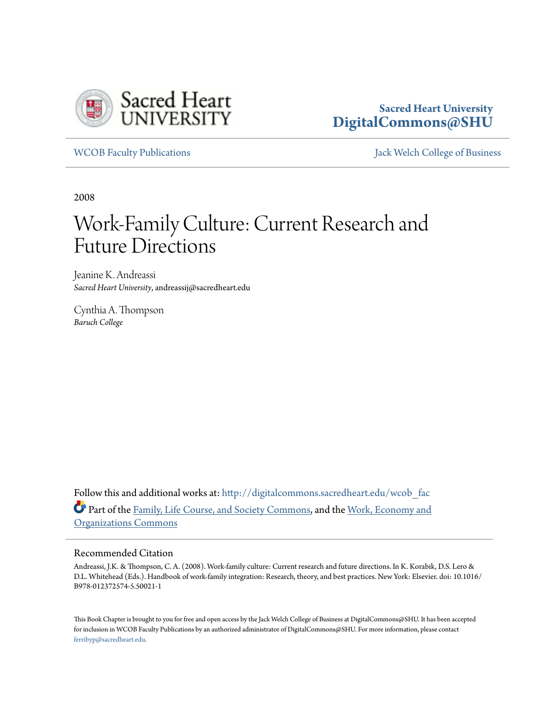

# **Sacred Heart University [DigitalCommons@SHU](http://digitalcommons.sacredheart.edu?utm_source=digitalcommons.sacredheart.edu%2Fwcob_fac%2F213&utm_medium=PDF&utm_campaign=PDFCoverPages)**

[WCOB Faculty Publications](http://digitalcommons.sacredheart.edu/wcob_fac?utm_source=digitalcommons.sacredheart.edu%2Fwcob_fac%2F213&utm_medium=PDF&utm_campaign=PDFCoverPages) [Jack Welch College of Business](http://digitalcommons.sacredheart.edu/wcob?utm_source=digitalcommons.sacredheart.edu%2Fwcob_fac%2F213&utm_medium=PDF&utm_campaign=PDFCoverPages)

2008

# Work-Family Culture: Current Research and Future Directions

Jeanine K. Andreassi *Sacred Heart University*, andreassij@sacredheart.edu

Cynthia A. Thompson *Baruch College*

Follow this and additional works at: [http://digitalcommons.sacredheart.edu/wcob\\_fac](http://digitalcommons.sacredheart.edu/wcob_fac?utm_source=digitalcommons.sacredheart.edu%2Fwcob_fac%2F213&utm_medium=PDF&utm_campaign=PDFCoverPages) Part of the [Family, Life Course, and Society Commons](http://network.bepress.com/hgg/discipline/419?utm_source=digitalcommons.sacredheart.edu%2Fwcob_fac%2F213&utm_medium=PDF&utm_campaign=PDFCoverPages), and the [Work, Economy and](http://network.bepress.com/hgg/discipline/433?utm_source=digitalcommons.sacredheart.edu%2Fwcob_fac%2F213&utm_medium=PDF&utm_campaign=PDFCoverPages) [Organizations Commons](http://network.bepress.com/hgg/discipline/433?utm_source=digitalcommons.sacredheart.edu%2Fwcob_fac%2F213&utm_medium=PDF&utm_campaign=PDFCoverPages)

#### Recommended Citation

Andreassi, J.K. & Thompson, C. A. (2008). Work-family culture: Current research and future directions. In K. Korabik, D.S. Lero & D.L. Whitehead (Eds.). Handbook of work-family integration: Research, theory, and best practices. New York: Elsevier. doi: 10.1016/ B978-012372574-5.50021-1

This Book Chapter is brought to you for free and open access by the Jack Welch College of Business at DigitalCommons@SHU. It has been accepted for inclusion in WCOB Faculty Publications by an authorized administrator of DigitalCommons@SHU. For more information, please contact [ferribyp@sacredheart.edu](mailto:ferribyp@sacredheart.edu).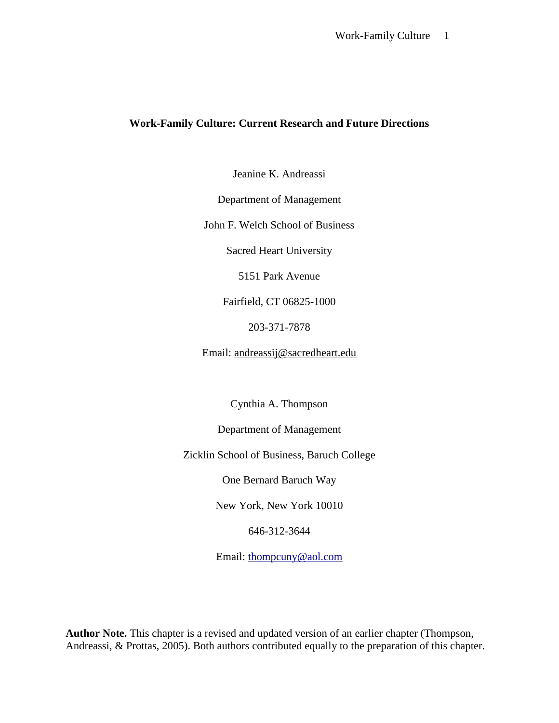# **Work-Family Culture: Current Research and Future Directions**

Jeanine K. Andreassi

Department of Management

John F. Welch School of Business

Sacred Heart University

5151 Park Avenue

Fairfield, CT 06825-1000

203-371-7878

Email: [andreassij@sacredheart.edu](mailto:andreassij@sacredheart.edu)

Cynthia A. Thompson

Department of Management

Zicklin School of Business, Baruch College

One Bernard Baruch Way

New York, New York 10010

646-312-3644

Email: [thompcuny@aol.com](mailto:thompcuny@aol.com)

**Author Note.** This chapter is a revised and updated version of an earlier chapter (Thompson, Andreassi, & Prottas, 2005). Both authors contributed equally to the preparation of this chapter.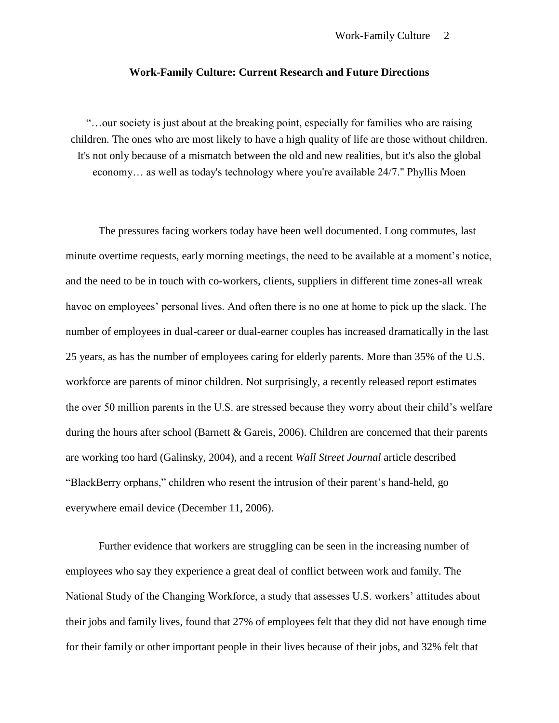#### **Work-Family Culture: Current Research and Future Directions**

"…our society is just about at the breaking point, especially for families who are raising children. The ones who are most likely to have a high quality of life are those without children. It's not only because of a mismatch between the old and new realities, but it's also the global economy… as well as today's technology where you're available 24/7." Phyllis Moen

The pressures facing workers today have been well documented. Long commutes, last minute overtime requests, early morning meetings, the need to be available at a moment's notice, and the need to be in touch with co-workers, clients, suppliers in different time zones-all wreak havoc on employees' personal lives. And often there is no one at home to pick up the slack. The number of employees in dual-career or dual-earner couples has increased dramatically in the last 25 years, as has the number of employees caring for elderly parents. More than 35% of the U.S. workforce are parents of minor children. Not surprisingly, a recently released report estimates the over 50 million parents in the U.S. are stressed because they worry about their child's welfare during the hours after school (Barnett & Gareis, 2006). Children are concerned that their parents are working too hard (Galinsky, 2004), and a recent *Wall Street Journal* article described "BlackBerry orphans," children who resent the intrusion of their parent's hand-held, go everywhere email device (December 11, 2006).

Further evidence that workers are struggling can be seen in the increasing number of employees who say they experience a great deal of conflict between work and family. The National Study of the Changing Workforce, a study that assesses U.S. workers' attitudes about their jobs and family lives, found that 27% of employees felt that they did not have enough time for their family or other important people in their lives because of their jobs, and 32% felt that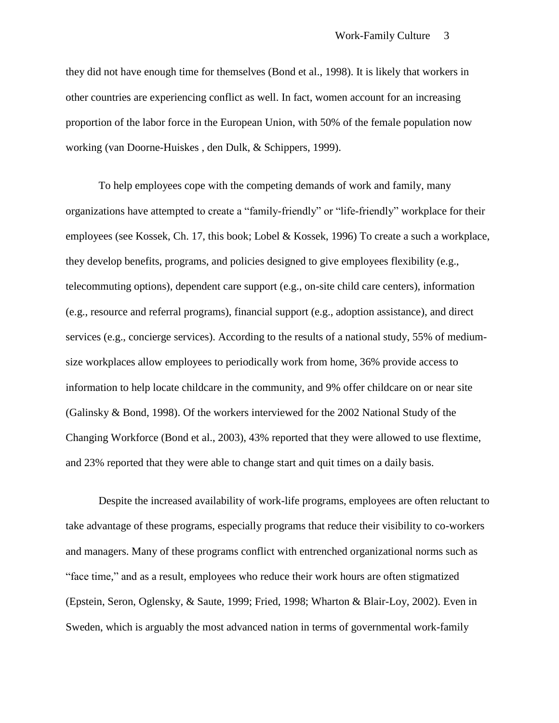they did not have enough time for themselves (Bond et al., 1998). It is likely that workers in other countries are experiencing conflict as well. In fact, women account for an increasing proportion of the labor force in the European Union, with 50% of the female population now working (van Doorne-Huiskes , den Dulk, & Schippers, 1999).

To help employees cope with the competing demands of work and family, many organizations have attempted to create a "family-friendly" or "life-friendly" workplace for their employees (see Kossek, Ch. 17, this book; Lobel & Kossek, 1996) To create a such a workplace, they develop benefits, programs, and policies designed to give employees flexibility (e.g., telecommuting options), dependent care support (e.g., on-site child care centers), information (e.g., resource and referral programs), financial support (e.g., adoption assistance), and direct services (e.g., concierge services). According to the results of a national study, 55% of mediumsize workplaces allow employees to periodically work from home, 36% provide access to information to help locate childcare in the community, and 9% offer childcare on or near site (Galinsky & Bond, 1998). Of the workers interviewed for the 2002 National Study of the Changing Workforce (Bond et al., 2003), 43% reported that they were allowed to use flextime, and 23% reported that they were able to change start and quit times on a daily basis.

Despite the increased availability of work-life programs, employees are often reluctant to take advantage of these programs, especially programs that reduce their visibility to co-workers and managers. Many of these programs conflict with entrenched organizational norms such as "face time," and as a result, employees who reduce their work hours are often stigmatized (Epstein, Seron, Oglensky, & Saute, 1999; Fried, 1998; Wharton & Blair-Loy, 2002). Even in Sweden, which is arguably the most advanced nation in terms of governmental work-family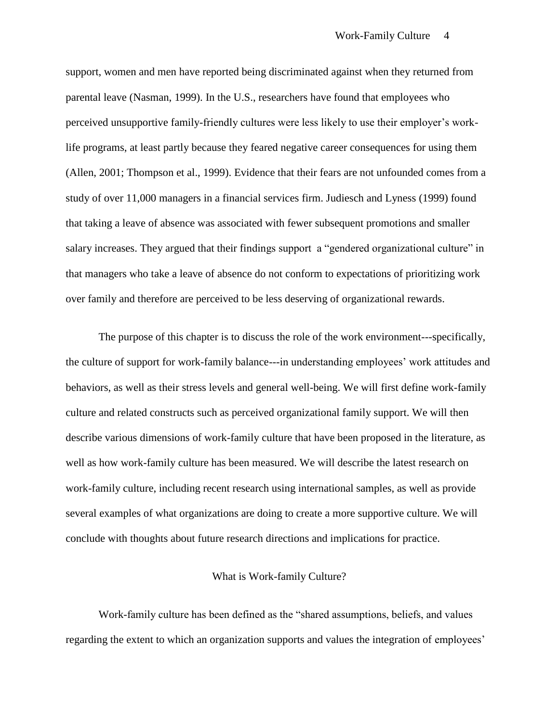support, women and men have reported being discriminated against when they returned from parental leave (Nasman, 1999). In the U.S., researchers have found that employees who perceived unsupportive family-friendly cultures were less likely to use their employer's worklife programs, at least partly because they feared negative career consequences for using them (Allen, 2001; Thompson et al., 1999). Evidence that their fears are not unfounded comes from a study of over 11,000 managers in a financial services firm. Judiesch and Lyness (1999) found that taking a leave of absence was associated with fewer subsequent promotions and smaller salary increases. They argued that their findings support a "gendered organizational culture" in that managers who take a leave of absence do not conform to expectations of prioritizing work over family and therefore are perceived to be less deserving of organizational rewards.

The purpose of this chapter is to discuss the role of the work environment---specifically, the culture of support for work-family balance---in understanding employees' work attitudes and behaviors, as well as their stress levels and general well-being. We will first define work-family culture and related constructs such as perceived organizational family support. We will then describe various dimensions of work-family culture that have been proposed in the literature, as well as how work-family culture has been measured. We will describe the latest research on work-family culture, including recent research using international samples, as well as provide several examples of what organizations are doing to create a more supportive culture. We will conclude with thoughts about future research directions and implications for practice.

#### What is Work-family Culture?

Work-family culture has been defined as the "shared assumptions, beliefs, and values regarding the extent to which an organization supports and values the integration of employees'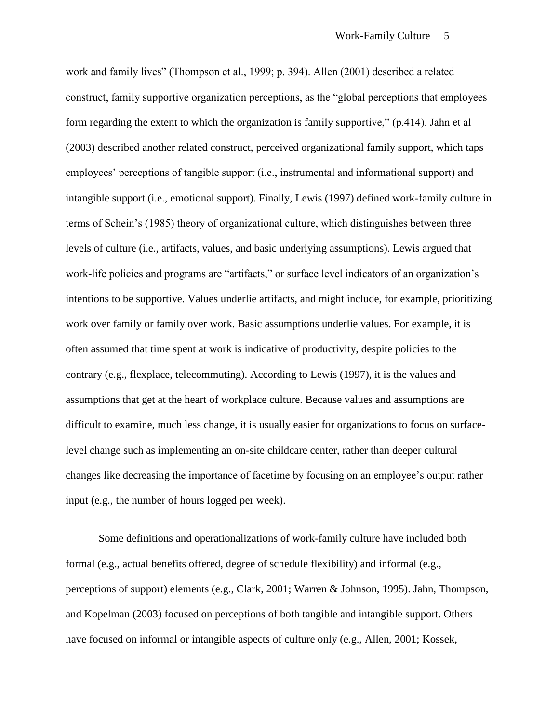work and family lives" (Thompson et al., 1999; p. 394). Allen (2001) described a related construct, family supportive organization perceptions, as the "global perceptions that employees form regarding the extent to which the organization is family supportive," (p.414). Jahn et al (2003) described another related construct, perceived organizational family support, which taps employees' perceptions of tangible support (i.e., instrumental and informational support) and intangible support (i.e., emotional support). Finally, Lewis (1997) defined work-family culture in terms of Schein's (1985) theory of organizational culture, which distinguishes between three levels of culture (i.e., artifacts, values, and basic underlying assumptions). Lewis argued that work-life policies and programs are "artifacts," or surface level indicators of an organization's intentions to be supportive. Values underlie artifacts, and might include, for example, prioritizing work over family or family over work. Basic assumptions underlie values. For example, it is often assumed that time spent at work is indicative of productivity, despite policies to the contrary (e.g., flexplace, telecommuting). According to Lewis (1997), it is the values and assumptions that get at the heart of workplace culture. Because values and assumptions are difficult to examine, much less change, it is usually easier for organizations to focus on surfacelevel change such as implementing an on-site childcare center, rather than deeper cultural changes like decreasing the importance of facetime by focusing on an employee's output rather input (e.g., the number of hours logged per week).

Some definitions and operationalizations of work-family culture have included both formal (e.g., actual benefits offered, degree of schedule flexibility) and informal (e.g., perceptions of support) elements (e.g., Clark, 2001; Warren & Johnson, 1995). Jahn, Thompson, and Kopelman (2003) focused on perceptions of both tangible and intangible support. Others have focused on informal or intangible aspects of culture only (e.g., Allen, 2001; Kossek,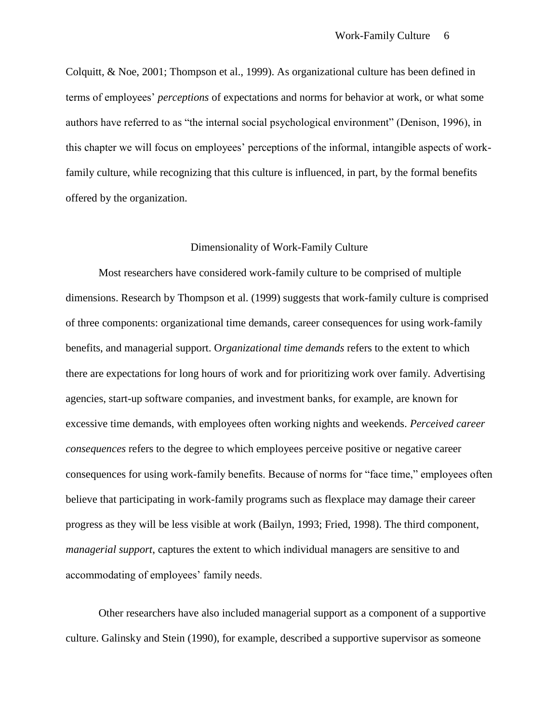Colquitt, & Noe, 2001; Thompson et al., 1999). As organizational culture has been defined in terms of employees' *perceptions* of expectations and norms for behavior at work, or what some authors have referred to as "the internal social psychological environment" (Denison, 1996), in this chapter we will focus on employees' perceptions of the informal, intangible aspects of workfamily culture, while recognizing that this culture is influenced, in part, by the formal benefits offered by the organization.

#### Dimensionality of Work-Family Culture

Most researchers have considered work-family culture to be comprised of multiple dimensions. Research by Thompson et al. (1999) suggests that work-family culture is comprised of three components: organizational time demands, career consequences for using work-family benefits, and managerial support. O*rganizational time demands* refers to the extent to which there are expectations for long hours of work and for prioritizing work over family. Advertising agencies, start-up software companies, and investment banks, for example, are known for excessive time demands, with employees often working nights and weekends. *Perceived career consequences* refers to the degree to which employees perceive positive or negative career consequences for using work-family benefits. Because of norms for "face time," employees often believe that participating in work-family programs such as flexplace may damage their career progress as they will be less visible at work (Bailyn, 1993; Fried, 1998). The third component, *managerial support*, captures the extent to which individual managers are sensitive to and accommodating of employees' family needs.

Other researchers have also included managerial support as a component of a supportive culture. Galinsky and Stein (1990), for example, described a supportive supervisor as someone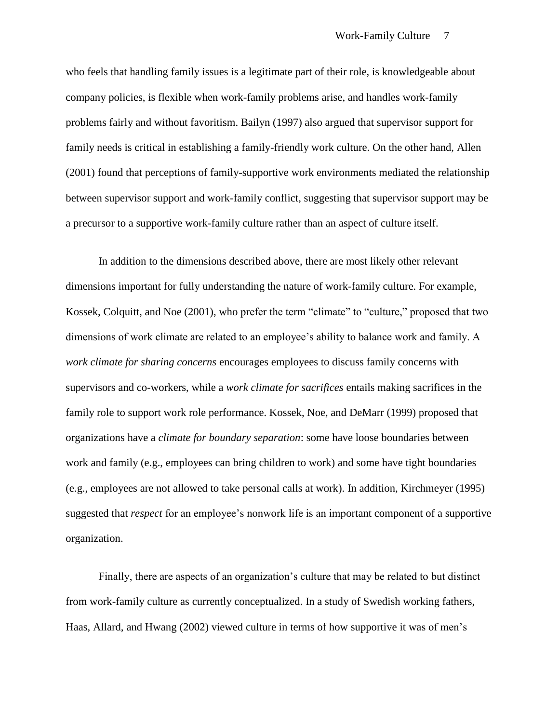who feels that handling family issues is a legitimate part of their role, is knowledgeable about company policies, is flexible when work-family problems arise, and handles work-family problems fairly and without favoritism. Bailyn (1997) also argued that supervisor support for family needs is critical in establishing a family-friendly work culture. On the other hand, Allen (2001) found that perceptions of family-supportive work environments mediated the relationship between supervisor support and work-family conflict, suggesting that supervisor support may be a precursor to a supportive work-family culture rather than an aspect of culture itself.

In addition to the dimensions described above, there are most likely other relevant dimensions important for fully understanding the nature of work-family culture. For example, Kossek, Colquitt, and Noe (2001), who prefer the term "climate" to "culture," proposed that two dimensions of work climate are related to an employee's ability to balance work and family. A *work climate for sharing concerns* encourages employees to discuss family concerns with supervisors and co-workers, while a *work climate for sacrifices* entails making sacrifices in the family role to support work role performance. Kossek, Noe, and DeMarr (1999) proposed that organizations have a *climate for boundary separation*: some have loose boundaries between work and family (e.g., employees can bring children to work) and some have tight boundaries (e.g., employees are not allowed to take personal calls at work). In addition, Kirchmeyer (1995) suggested that *respect* for an employee's nonwork life is an important component of a supportive organization.

Finally, there are aspects of an organization's culture that may be related to but distinct from work-family culture as currently conceptualized. In a study of Swedish working fathers, Haas, Allard, and Hwang (2002) viewed culture in terms of how supportive it was of men's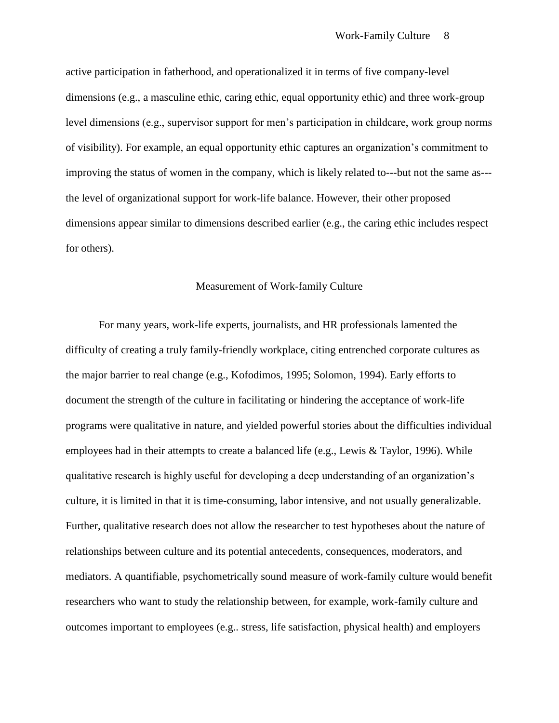active participation in fatherhood, and operationalized it in terms of five company-level dimensions (e.g., a masculine ethic, caring ethic, equal opportunity ethic) and three work-group level dimensions (e.g., supervisor support for men's participation in childcare, work group norms of visibility). For example, an equal opportunity ethic captures an organization's commitment to improving the status of women in the company, which is likely related to---but not the same as-- the level of organizational support for work-life balance. However, their other proposed dimensions appear similar to dimensions described earlier (e.g., the caring ethic includes respect for others).

## Measurement of Work-family Culture

For many years, work-life experts, journalists, and HR professionals lamented the difficulty of creating a truly family-friendly workplace, citing entrenched corporate cultures as the major barrier to real change (e.g., Kofodimos, 1995; Solomon, 1994). Early efforts to document the strength of the culture in facilitating or hindering the acceptance of work-life programs were qualitative in nature, and yielded powerful stories about the difficulties individual employees had in their attempts to create a balanced life (e.g., Lewis & Taylor, 1996). While qualitative research is highly useful for developing a deep understanding of an organization's culture, it is limited in that it is time-consuming, labor intensive, and not usually generalizable. Further, qualitative research does not allow the researcher to test hypotheses about the nature of relationships between culture and its potential antecedents, consequences, moderators, and mediators. A quantifiable, psychometrically sound measure of work-family culture would benefit researchers who want to study the relationship between, for example, work-family culture and outcomes important to employees (e.g.. stress, life satisfaction, physical health) and employers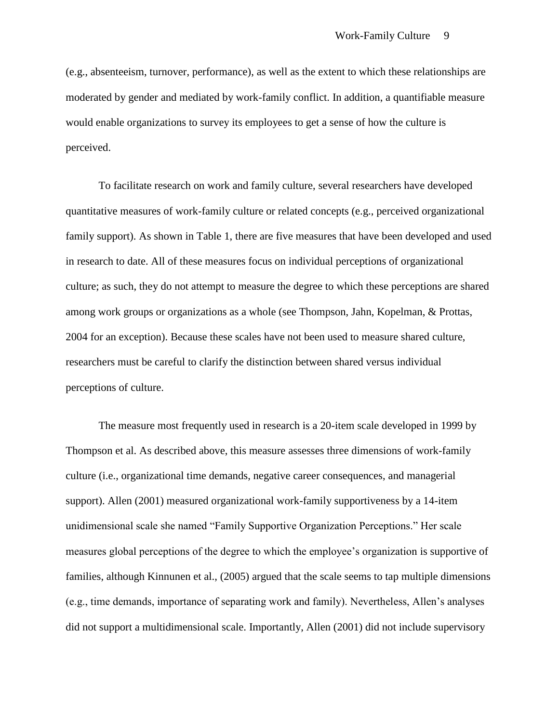(e.g., absenteeism, turnover, performance), as well as the extent to which these relationships are moderated by gender and mediated by work-family conflict. In addition, a quantifiable measure would enable organizations to survey its employees to get a sense of how the culture is perceived.

To facilitate research on work and family culture, several researchers have developed quantitative measures of work-family culture or related concepts (e.g., perceived organizational family support). As shown in Table 1, there are five measures that have been developed and used in research to date. All of these measures focus on individual perceptions of organizational culture; as such, they do not attempt to measure the degree to which these perceptions are shared among work groups or organizations as a whole (see Thompson, Jahn, Kopelman, & Prottas, 2004 for an exception). Because these scales have not been used to measure shared culture, researchers must be careful to clarify the distinction between shared versus individual perceptions of culture.

The measure most frequently used in research is a 20-item scale developed in 1999 by Thompson et al. As described above, this measure assesses three dimensions of work-family culture (i.e., organizational time demands, negative career consequences, and managerial support). Allen (2001) measured organizational work-family supportiveness by a 14-item unidimensional scale she named "Family Supportive Organization Perceptions." Her scale measures global perceptions of the degree to which the employee's organization is supportive of families, although Kinnunen et al., (2005) argued that the scale seems to tap multiple dimensions (e.g., time demands, importance of separating work and family). Nevertheless, Allen's analyses did not support a multidimensional scale. Importantly, Allen (2001) did not include supervisory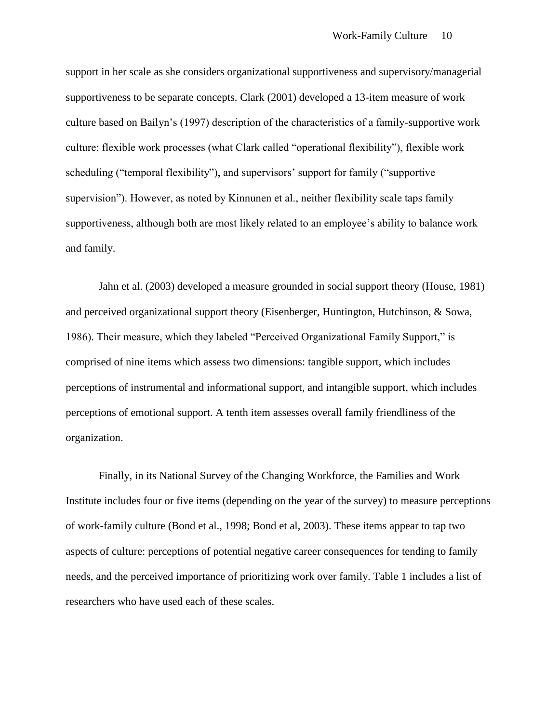support in her scale as she considers organizational supportiveness and supervisory/managerial supportiveness to be separate concepts. Clark (2001) developed a 13-item measure of work culture based on Bailyn's (1997) description of the characteristics of a family-supportive work culture: flexible work processes (what Clark called "operational flexibility"), flexible work scheduling ("temporal flexibility"), and supervisors' support for family ("supportive supervision"). However, as noted by Kinnunen et al., neither flexibility scale taps family supportiveness, although both are most likely related to an employee's ability to balance work and family.

Jahn et al. (2003) developed a measure grounded in social support theory (House, 1981) and perceived organizational support theory (Eisenberger, Huntington, Hutchinson, & Sowa, 1986). Their measure, which they labeled "Perceived Organizational Family Support," is comprised of nine items which assess two dimensions: tangible support, which includes perceptions of instrumental and informational support, and intangible support, which includes perceptions of emotional support. A tenth item assesses overall family friendliness of the organization.

Finally, in its National Survey of the Changing Workforce, the Families and Work Institute includes four or five items (depending on the year of the survey) to measure perceptions of work-family culture (Bond et al., 1998; Bond et al, 2003). These items appear to tap two aspects of culture: perceptions of potential negative career consequences for tending to family needs, and the perceived importance of prioritizing work over family. Table 1 includes a list of researchers who have used each of these scales.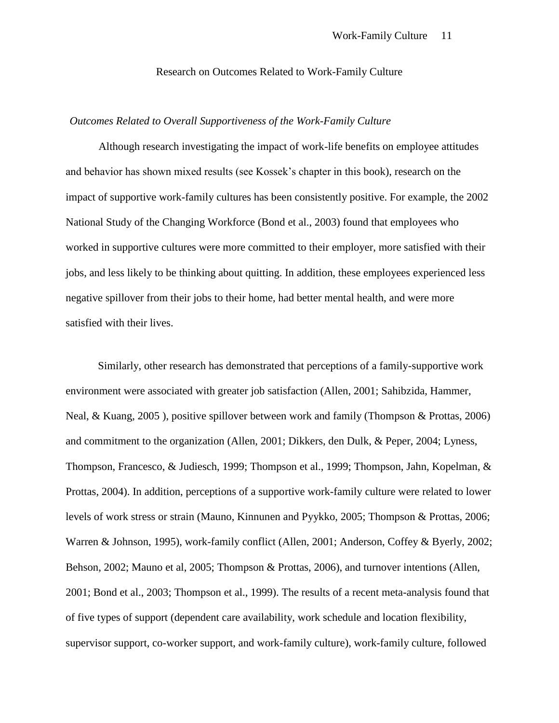Research on Outcomes Related to Work-Family Culture

#### *Outcomes Related to Overall Supportiveness of the Work-Family Culture*

Although research investigating the impact of work-life benefits on employee attitudes and behavior has shown mixed results (see Kossek's chapter in this book), research on the impact of supportive work-family cultures has been consistently positive. For example, the 2002 National Study of the Changing Workforce (Bond et al., 2003) found that employees who worked in supportive cultures were more committed to their employer, more satisfied with their jobs, and less likely to be thinking about quitting. In addition, these employees experienced less negative spillover from their jobs to their home, had better mental health, and were more satisfied with their lives.

Similarly, other research has demonstrated that perceptions of a family-supportive work environment were associated with greater job satisfaction (Allen, 2001; Sahibzida, Hammer, Neal, & Kuang, 2005 ), positive spillover between work and family (Thompson & Prottas, 2006) and commitment to the organization (Allen, 2001; Dikkers, den Dulk, & Peper, 2004; Lyness, Thompson, Francesco, & Judiesch, 1999; Thompson et al., 1999; Thompson, Jahn, Kopelman, & Prottas, 2004). In addition, perceptions of a supportive work-family culture were related to lower levels of work stress or strain (Mauno, Kinnunen and Pyykko, 2005; Thompson & Prottas, 2006; Warren & Johnson, 1995), work-family conflict (Allen, 2001; Anderson, Coffey & Byerly, 2002; Behson, 2002; Mauno et al, 2005; Thompson & Prottas, 2006), and turnover intentions (Allen, 2001; Bond et al., 2003; Thompson et al., 1999). The results of a recent meta-analysis found that of five types of support (dependent care availability, work schedule and location flexibility, supervisor support, co-worker support, and work-family culture), work-family culture, followed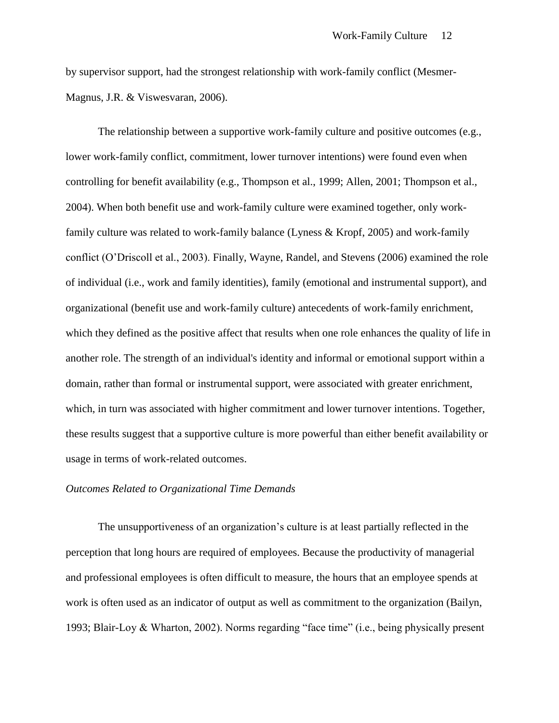by supervisor support, had the strongest relationship with work-family conflict (Mesmer-Magnus, J.R. & Viswesvaran, 2006).

The relationship between a supportive work-family culture and positive outcomes (e.g., lower work-family conflict, commitment, lower turnover intentions) were found even when controlling for benefit availability (e.g., Thompson et al., 1999; Allen, 2001; Thompson et al., 2004). When both benefit use and work-family culture were examined together, only workfamily culture was related to work-family balance (Lyness & Kropf, 2005) and work-family conflict (O'Driscoll et al., 2003). Finally, Wayne, Randel, and Stevens (2006) examined the role of individual (i.e., work and family identities), family (emotional and instrumental support), and organizational (benefit use and work-family culture) antecedents of work-family enrichment, which they defined as the positive affect that results when one role enhances the quality of life in another role. The strength of an individual's identity and informal or emotional support within a domain, rather than formal or instrumental support, were associated with greater enrichment, which, in turn was associated with higher commitment and lower turnover intentions. Together, these results suggest that a supportive culture is more powerful than either benefit availability or usage in terms of work-related outcomes.

### *Outcomes Related to Organizational Time Demands*

The unsupportiveness of an organization's culture is at least partially reflected in the perception that long hours are required of employees. Because the productivity of managerial and professional employees is often difficult to measure, the hours that an employee spends at work is often used as an indicator of output as well as commitment to the organization (Bailyn, 1993; Blair-Loy & Wharton, 2002). Norms regarding "face time" (i.e., being physically present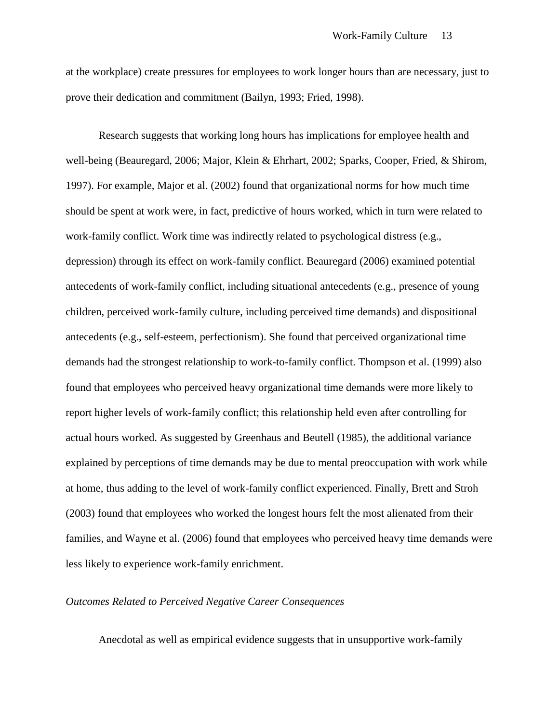at the workplace) create pressures for employees to work longer hours than are necessary, just to prove their dedication and commitment (Bailyn, 1993; Fried, 1998).

Research suggests that working long hours has implications for employee health and well-being (Beauregard, 2006; Major, Klein & Ehrhart, 2002; Sparks, Cooper, Fried, & Shirom, 1997). For example, Major et al. (2002) found that organizational norms for how much time should be spent at work were, in fact, predictive of hours worked, which in turn were related to work-family conflict. Work time was indirectly related to psychological distress (e.g., depression) through its effect on work-family conflict. Beauregard (2006) examined potential antecedents of work-family conflict, including situational antecedents (e.g., presence of young children, perceived work-family culture, including perceived time demands) and dispositional antecedents (e.g., self-esteem, perfectionism). She found that perceived organizational time demands had the strongest relationship to work-to-family conflict. Thompson et al. (1999) also found that employees who perceived heavy organizational time demands were more likely to report higher levels of work-family conflict; this relationship held even after controlling for actual hours worked. As suggested by Greenhaus and Beutell (1985), the additional variance explained by perceptions of time demands may be due to mental preoccupation with work while at home, thus adding to the level of work-family conflict experienced. Finally, Brett and Stroh (2003) found that employees who worked the longest hours felt the most alienated from their families, and Wayne et al. (2006) found that employees who perceived heavy time demands were less likely to experience work-family enrichment.

### *Outcomes Related to Perceived Negative Career Consequences*

Anecdotal as well as empirical evidence suggests that in unsupportive work-family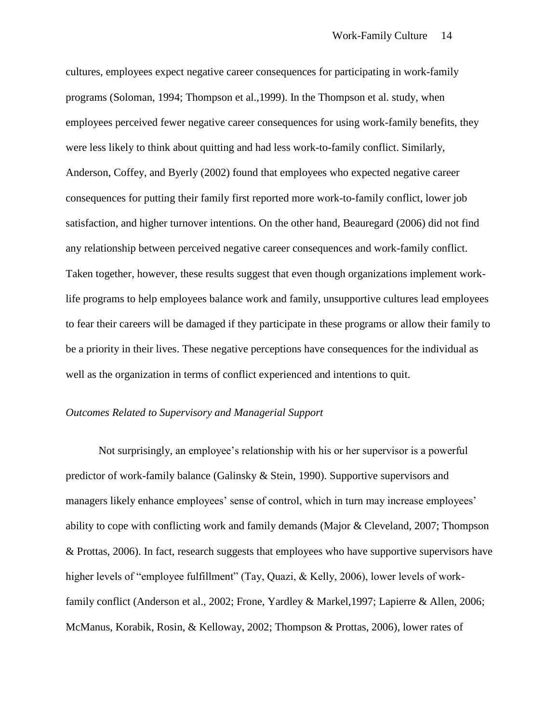cultures, employees expect negative career consequences for participating in work-family programs (Soloman, 1994; Thompson et al.,1999). In the Thompson et al. study, when employees perceived fewer negative career consequences for using work-family benefits, they were less likely to think about quitting and had less work-to-family conflict. Similarly, Anderson, Coffey, and Byerly (2002) found that employees who expected negative career consequences for putting their family first reported more work-to-family conflict, lower job satisfaction, and higher turnover intentions. On the other hand, Beauregard (2006) did not find any relationship between perceived negative career consequences and work-family conflict. Taken together, however, these results suggest that even though organizations implement worklife programs to help employees balance work and family, unsupportive cultures lead employees to fear their careers will be damaged if they participate in these programs or allow their family to be a priority in their lives. These negative perceptions have consequences for the individual as well as the organization in terms of conflict experienced and intentions to quit.

# *Outcomes Related to Supervisory and Managerial Support*

Not surprisingly, an employee's relationship with his or her supervisor is a powerful predictor of work-family balance (Galinsky & Stein, 1990). Supportive supervisors and managers likely enhance employees' sense of control, which in turn may increase employees' ability to cope with conflicting work and family demands (Major & Cleveland, 2007; Thompson & Prottas, 2006). In fact, research suggests that employees who have supportive supervisors have higher levels of "employee fulfillment" (Tay, Quazi, & Kelly, 2006), lower levels of workfamily conflict (Anderson et al., 2002; Frone, Yardley & Markel, 1997; Lapierre & Allen, 2006; McManus, Korabik, Rosin, & Kelloway, 2002; Thompson & Prottas, 2006), lower rates of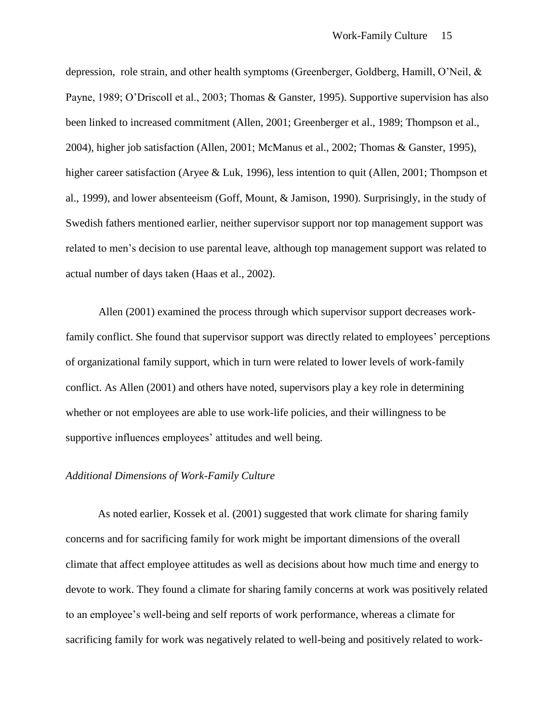depression, role strain, and other health symptoms (Greenberger, Goldberg, Hamill, O'Neil, & Payne, 1989; O'Driscoll et al., 2003; Thomas & Ganster, 1995). Supportive supervision has also been linked to increased commitment (Allen, 2001; Greenberger et al., 1989; Thompson et al., 2004), higher job satisfaction (Allen, 2001; McManus et al., 2002; Thomas & Ganster, 1995), higher career satisfaction (Aryee & Luk, 1996), less intention to quit (Allen, 2001; Thompson et al., 1999), and lower absenteeism (Goff, Mount, & Jamison, 1990). Surprisingly, in the study of Swedish fathers mentioned earlier, neither supervisor support nor top management support was related to men's decision to use parental leave, although top management support was related to actual number of days taken (Haas et al., 2002).

Allen (2001) examined the process through which supervisor support decreases workfamily conflict. She found that supervisor support was directly related to employees' perceptions of organizational family support, which in turn were related to lower levels of work-family conflict. As Allen (2001) and others have noted, supervisors play a key role in determining whether or not employees are able to use work-life policies, and their willingness to be supportive influences employees' attitudes and well being.

### *Additional Dimensions of Work-Family Culture*

As noted earlier, Kossek et al. (2001) suggested that work climate for sharing family concerns and for sacrificing family for work might be important dimensions of the overall climate that affect employee attitudes as well as decisions about how much time and energy to devote to work. They found a climate for sharing family concerns at work was positively related to an employee's well-being and self reports of work performance, whereas a climate for sacrificing family for work was negatively related to well-being and positively related to work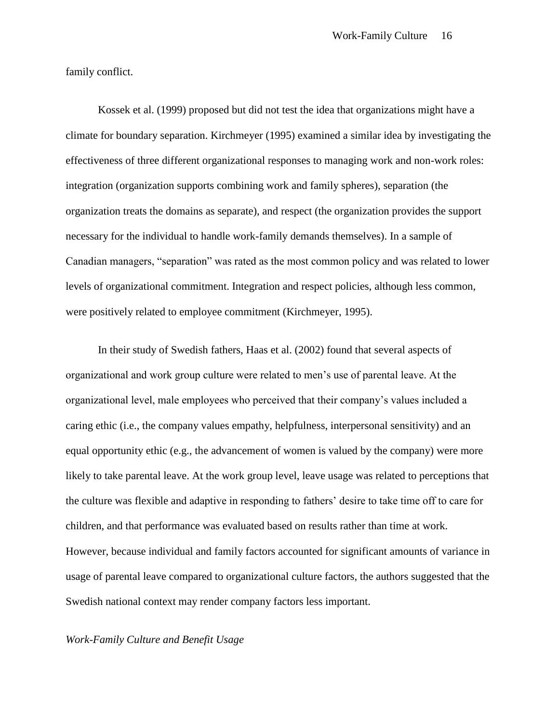family conflict.

Kossek et al. (1999) proposed but did not test the idea that organizations might have a climate for boundary separation. Kirchmeyer (1995) examined a similar idea by investigating the effectiveness of three different organizational responses to managing work and non-work roles: integration (organization supports combining work and family spheres), separation (the organization treats the domains as separate), and respect (the organization provides the support necessary for the individual to handle work-family demands themselves). In a sample of Canadian managers, "separation" was rated as the most common policy and was related to lower levels of organizational commitment. Integration and respect policies, although less common, were positively related to employee commitment (Kirchmeyer, 1995).

In their study of Swedish fathers, Haas et al. (2002) found that several aspects of organizational and work group culture were related to men's use of parental leave. At the organizational level, male employees who perceived that their company's values included a caring ethic (i.e., the company values empathy, helpfulness, interpersonal sensitivity) and an equal opportunity ethic (e.g., the advancement of women is valued by the company) were more likely to take parental leave. At the work group level, leave usage was related to perceptions that the culture was flexible and adaptive in responding to fathers' desire to take time off to care for children, and that performance was evaluated based on results rather than time at work. However, because individual and family factors accounted for significant amounts of variance in usage of parental leave compared to organizational culture factors, the authors suggested that the Swedish national context may render company factors less important.

## *Work-Family Culture and Benefit Usage*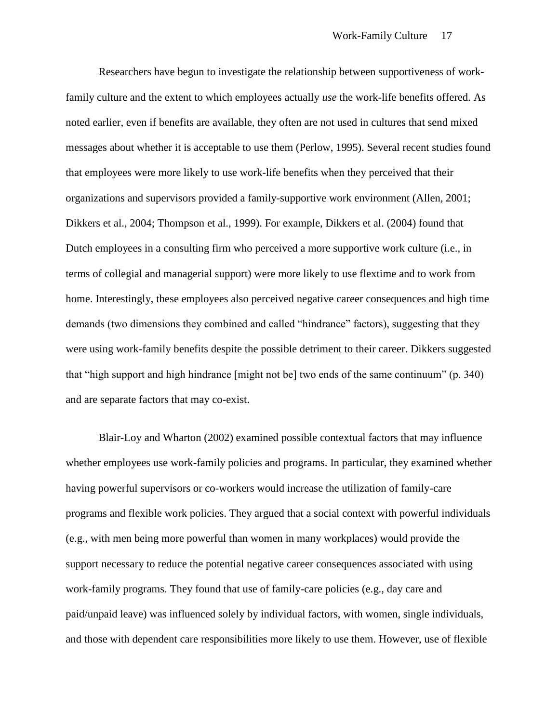Researchers have begun to investigate the relationship between supportiveness of workfamily culture and the extent to which employees actually *use* the work-life benefits offered. As noted earlier, even if benefits are available, they often are not used in cultures that send mixed messages about whether it is acceptable to use them (Perlow, 1995). Several recent studies found that employees were more likely to use work-life benefits when they perceived that their organizations and supervisors provided a family-supportive work environment (Allen, 2001; Dikkers et al., 2004; Thompson et al., 1999). For example, Dikkers et al. (2004) found that Dutch employees in a consulting firm who perceived a more supportive work culture (i.e., in terms of collegial and managerial support) were more likely to use flextime and to work from home. Interestingly, these employees also perceived negative career consequences and high time demands (two dimensions they combined and called "hindrance" factors), suggesting that they were using work-family benefits despite the possible detriment to their career. Dikkers suggested that "high support and high hindrance [might not be] two ends of the same continuum" (p. 340) and are separate factors that may co-exist.

Blair-Loy and Wharton (2002) examined possible contextual factors that may influence whether employees use work-family policies and programs. In particular, they examined whether having powerful supervisors or co-workers would increase the utilization of family-care programs and flexible work policies. They argued that a social context with powerful individuals (e.g., with men being more powerful than women in many workplaces) would provide the support necessary to reduce the potential negative career consequences associated with using work-family programs. They found that use of family-care policies (e.g., day care and paid/unpaid leave) was influenced solely by individual factors, with women, single individuals, and those with dependent care responsibilities more likely to use them. However, use of flexible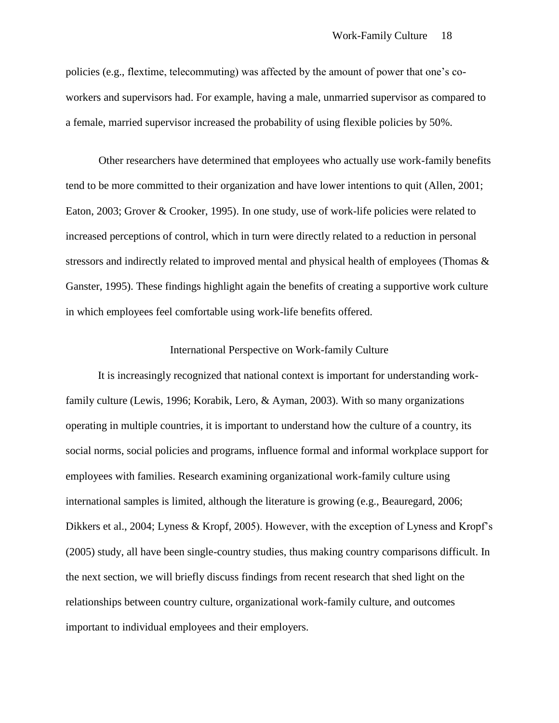policies (e.g., flextime, telecommuting) was affected by the amount of power that one's coworkers and supervisors had. For example, having a male, unmarried supervisor as compared to a female, married supervisor increased the probability of using flexible policies by 50%.

Other researchers have determined that employees who actually use work-family benefits tend to be more committed to their organization and have lower intentions to quit (Allen, 2001; Eaton, 2003; Grover & Crooker, 1995). In one study, use of work-life policies were related to increased perceptions of control, which in turn were directly related to a reduction in personal stressors and indirectly related to improved mental and physical health of employees (Thomas & Ganster, 1995). These findings highlight again the benefits of creating a supportive work culture in which employees feel comfortable using work-life benefits offered.

#### International Perspective on Work-family Culture

It is increasingly recognized that national context is important for understanding workfamily culture (Lewis, 1996; Korabik, Lero, & Ayman, 2003). With so many organizations operating in multiple countries, it is important to understand how the culture of a country, its social norms, social policies and programs, influence formal and informal workplace support for employees with families. Research examining organizational work-family culture using international samples is limited, although the literature is growing (e.g., Beauregard, 2006; Dikkers et al., 2004; Lyness & Kropf, 2005). However, with the exception of Lyness and Kropf's (2005) study, all have been single-country studies, thus making country comparisons difficult. In the next section, we will briefly discuss findings from recent research that shed light on the relationships between country culture, organizational work-family culture, and outcomes important to individual employees and their employers.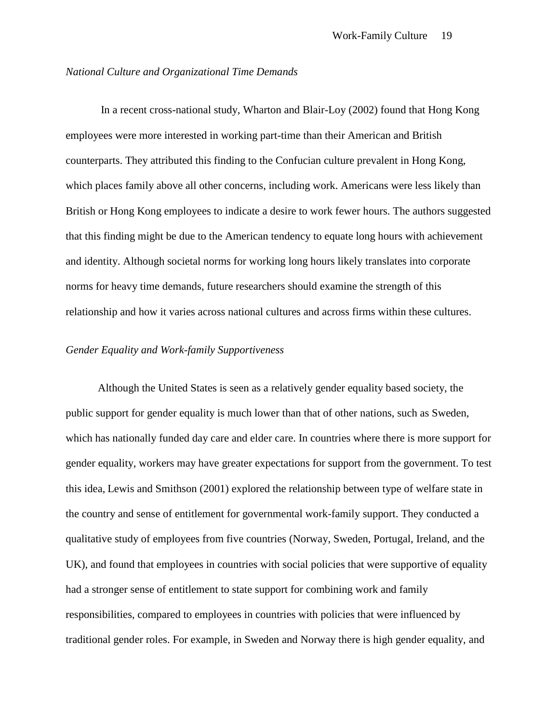#### *National Culture and Organizational Time Demands*

In a recent cross-national study, Wharton and Blair-Loy (2002) found that Hong Kong employees were more interested in working part-time than their American and British counterparts. They attributed this finding to the Confucian culture prevalent in Hong Kong, which places family above all other concerns, including work. Americans were less likely than British or Hong Kong employees to indicate a desire to work fewer hours. The authors suggested that this finding might be due to the American tendency to equate long hours with achievement and identity. Although societal norms for working long hours likely translates into corporate norms for heavy time demands, future researchers should examine the strength of this relationship and how it varies across national cultures and across firms within these cultures.

#### *Gender Equality and Work-family Supportiveness*

Although the United States is seen as a relatively gender equality based society, the public support for gender equality is much lower than that of other nations, such as Sweden, which has nationally funded day care and elder care. In countries where there is more support for gender equality, workers may have greater expectations for support from the government. To test this idea, Lewis and Smithson (2001) explored the relationship between type of welfare state in the country and sense of entitlement for governmental work-family support. They conducted a qualitative study of employees from five countries (Norway, Sweden, Portugal, Ireland, and the UK), and found that employees in countries with social policies that were supportive of equality had a stronger sense of entitlement to state support for combining work and family responsibilities, compared to employees in countries with policies that were influenced by traditional gender roles. For example, in Sweden and Norway there is high gender equality, and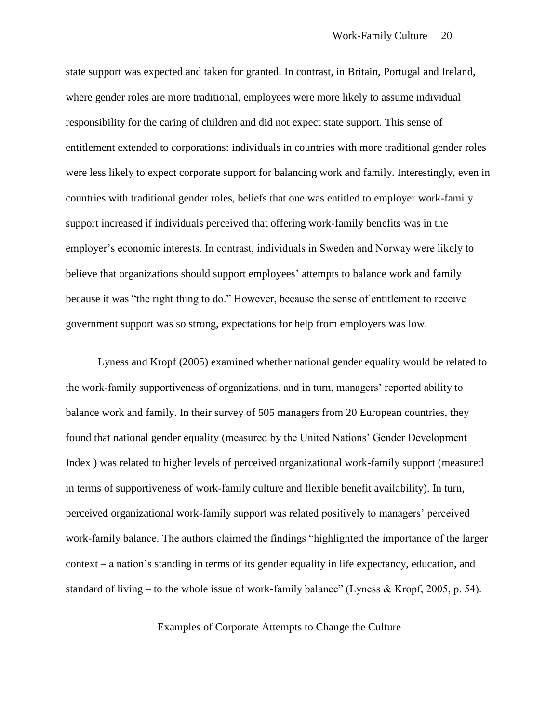state support was expected and taken for granted. In contrast, in Britain, Portugal and Ireland, where gender roles are more traditional, employees were more likely to assume individual responsibility for the caring of children and did not expect state support. This sense of entitlement extended to corporations: individuals in countries with more traditional gender roles were less likely to expect corporate support for balancing work and family. Interestingly, even in countries with traditional gender roles, beliefs that one was entitled to employer work-family support increased if individuals perceived that offering work-family benefits was in the employer's economic interests. In contrast, individuals in Sweden and Norway were likely to believe that organizations should support employees' attempts to balance work and family because it was "the right thing to do." However, because the sense of entitlement to receive government support was so strong, expectations for help from employers was low.

Lyness and Kropf (2005) examined whether national gender equality would be related to the work-family supportiveness of organizations, and in turn, managers' reported ability to balance work and family. In their survey of 505 managers from 20 European countries, they found that national gender equality (measured by the United Nations' Gender Development Index ) was related to higher levels of perceived organizational work-family support (measured in terms of supportiveness of work-family culture and flexible benefit availability). In turn, perceived organizational work-family support was related positively to managers' perceived work-family balance. The authors claimed the findings "highlighted the importance of the larger context – a nation's standing in terms of its gender equality in life expectancy, education, and standard of living – to the whole issue of work-family balance" (Lyness & Kropf, 2005, p. 54).

Examples of Corporate Attempts to Change the Culture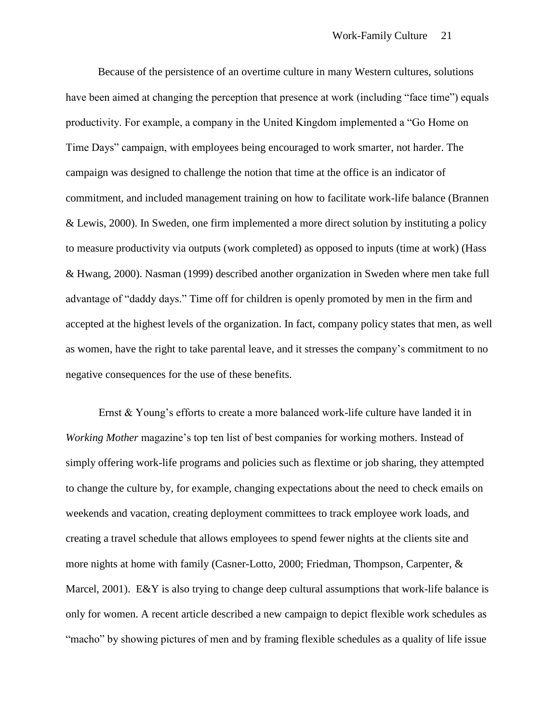Because of the persistence of an overtime culture in many Western cultures, solutions have been aimed at changing the perception that presence at work (including "face time") equals productivity. For example, a company in the United Kingdom implemented a "Go Home on Time Days" campaign, with employees being encouraged to work smarter, not harder. The campaign was designed to challenge the notion that time at the office is an indicator of commitment, and included management training on how to facilitate work-life balance (Brannen & Lewis, 2000). In Sweden, one firm implemented a more direct solution by instituting a policy to measure productivity via outputs (work completed) as opposed to inputs (time at work) (Hass & Hwang, 2000). Nasman (1999) described another organization in Sweden where men take full advantage of "daddy days." Time off for children is openly promoted by men in the firm and accepted at the highest levels of the organization. In fact, company policy states that men, as well as women, have the right to take parental leave, and it stresses the company's commitment to no negative consequences for the use of these benefits.

Ernst & Young's efforts to create a more balanced work-life culture have landed it in *Working Mother* magazine's top ten list of best companies for working mothers. Instead of simply offering work-life programs and policies such as flextime or job sharing, they attempted to change the culture by, for example, changing expectations about the need to check emails on weekends and vacation, creating deployment committees to track employee work loads, and creating a travel schedule that allows employees to spend fewer nights at the clients site and more nights at home with family (Casner-Lotto, 2000; Friedman, Thompson, Carpenter, & Marcel, 2001). E&Y is also trying to change deep cultural assumptions that work-life balance is only for women. A recent article described a new campaign to depict flexible work schedules as "macho" by showing pictures of men and by framing flexible schedules as a quality of life issue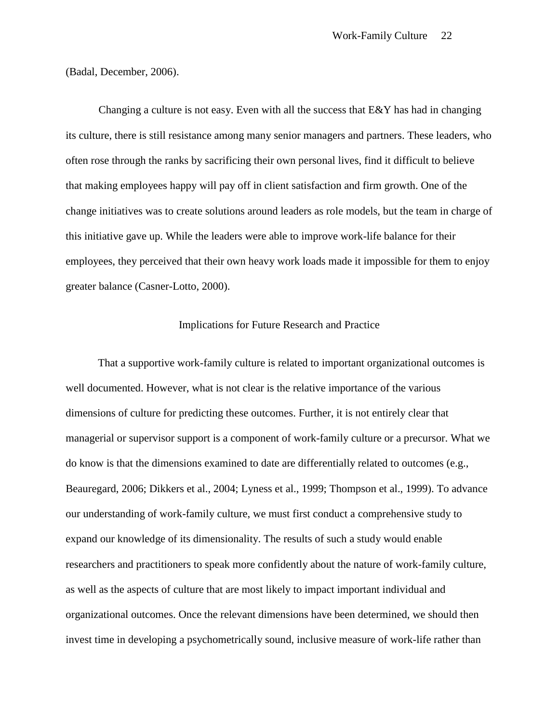(Badal, December, 2006).

Changing a culture is not easy. Even with all the success that E&Y has had in changing its culture, there is still resistance among many senior managers and partners. These leaders, who often rose through the ranks by sacrificing their own personal lives, find it difficult to believe that making employees happy will pay off in client satisfaction and firm growth. One of the change initiatives was to create solutions around leaders as role models, but the team in charge of this initiative gave up. While the leaders were able to improve work-life balance for their employees, they perceived that their own heavy work loads made it impossible for them to enjoy greater balance (Casner-Lotto, 2000).

### Implications for Future Research and Practice

That a supportive work-family culture is related to important organizational outcomes is well documented. However, what is not clear is the relative importance of the various dimensions of culture for predicting these outcomes. Further, it is not entirely clear that managerial or supervisor support is a component of work-family culture or a precursor. What we do know is that the dimensions examined to date are differentially related to outcomes (e.g., Beauregard, 2006; Dikkers et al., 2004; Lyness et al., 1999; Thompson et al., 1999). To advance our understanding of work-family culture, we must first conduct a comprehensive study to expand our knowledge of its dimensionality. The results of such a study would enable researchers and practitioners to speak more confidently about the nature of work-family culture, as well as the aspects of culture that are most likely to impact important individual and organizational outcomes. Once the relevant dimensions have been determined, we should then invest time in developing a psychometrically sound, inclusive measure of work-life rather than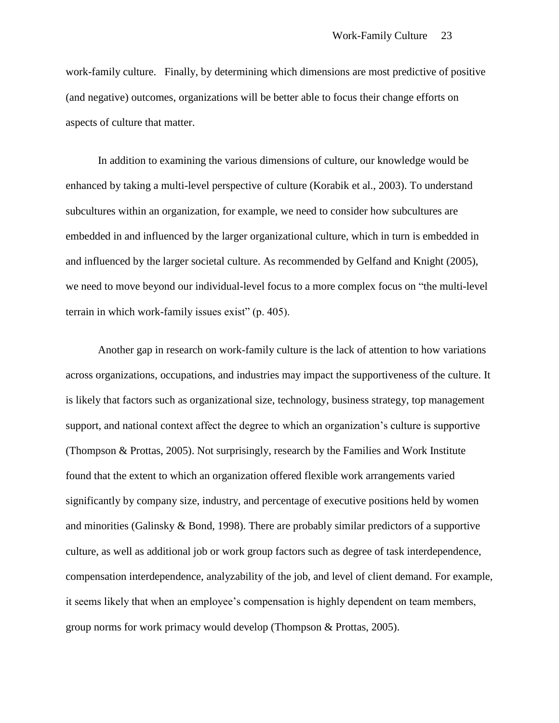work-family culture. Finally, by determining which dimensions are most predictive of positive (and negative) outcomes, organizations will be better able to focus their change efforts on aspects of culture that matter.

In addition to examining the various dimensions of culture, our knowledge would be enhanced by taking a multi-level perspective of culture (Korabik et al., 2003). To understand subcultures within an organization, for example, we need to consider how subcultures are embedded in and influenced by the larger organizational culture, which in turn is embedded in and influenced by the larger societal culture. As recommended by Gelfand and Knight (2005), we need to move beyond our individual-level focus to a more complex focus on "the multi-level terrain in which work-family issues exist" (p. 405).

Another gap in research on work-family culture is the lack of attention to how variations across organizations, occupations, and industries may impact the supportiveness of the culture. It is likely that factors such as organizational size, technology, business strategy, top management support, and national context affect the degree to which an organization's culture is supportive (Thompson & Prottas, 2005). Not surprisingly, research by the Families and Work Institute found that the extent to which an organization offered flexible work arrangements varied significantly by company size, industry, and percentage of executive positions held by women and minorities (Galinsky & Bond, 1998). There are probably similar predictors of a supportive culture, as well as additional job or work group factors such as degree of task interdependence, compensation interdependence, analyzability of the job, and level of client demand. For example, it seems likely that when an employee's compensation is highly dependent on team members, group norms for work primacy would develop (Thompson & Prottas, 2005).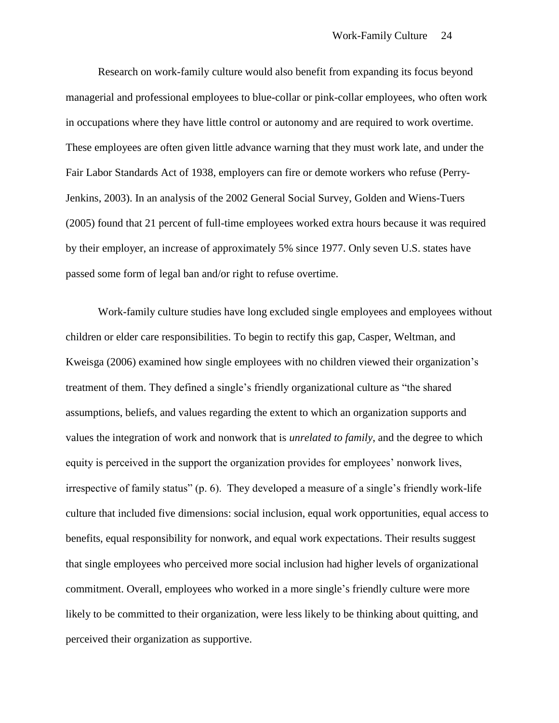Research on work-family culture would also benefit from expanding its focus beyond managerial and professional employees to blue-collar or pink-collar employees, who often work in occupations where they have little control or autonomy and are required to work overtime. These employees are often given little advance warning that they must work late, and under the Fair Labor Standards Act of 1938, employers can fire or demote workers who refuse (Perry-Jenkins, 2003). In an analysis of the 2002 General Social Survey, Golden and Wiens-Tuers (2005) found that 21 percent of full-time employees worked extra hours because it was required by their employer, an increase of approximately 5% since 1977. Only seven U.S. states have passed some form of legal ban and/or right to refuse overtime.

Work-family culture studies have long excluded single employees and employees without children or elder care responsibilities. To begin to rectify this gap, Casper, Weltman, and Kweisga (2006) examined how single employees with no children viewed their organization's treatment of them. They defined a single's friendly organizational culture as "the shared assumptions, beliefs, and values regarding the extent to which an organization supports and values the integration of work and nonwork that is *unrelated to family*, and the degree to which equity is perceived in the support the organization provides for employees' nonwork lives, irrespective of family status" (p. 6). They developed a measure of a single's friendly work-life culture that included five dimensions: social inclusion, equal work opportunities, equal access to benefits, equal responsibility for nonwork, and equal work expectations. Their results suggest that single employees who perceived more social inclusion had higher levels of organizational commitment. Overall, employees who worked in a more single's friendly culture were more likely to be committed to their organization, were less likely to be thinking about quitting, and perceived their organization as supportive.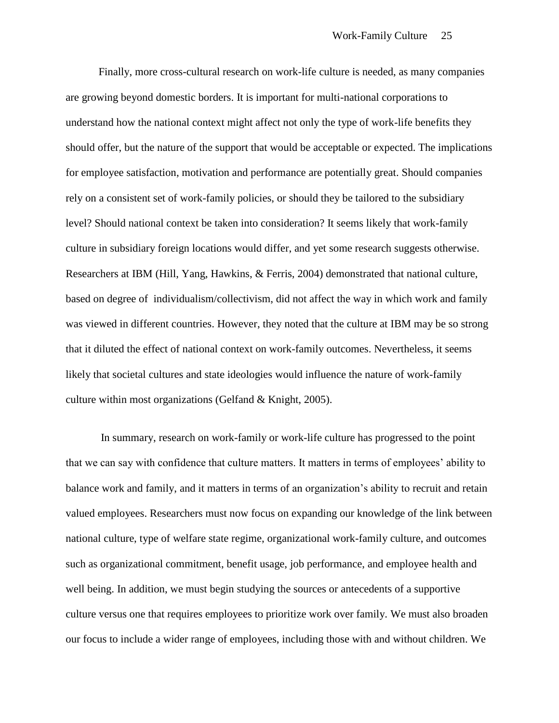Finally, more cross-cultural research on work-life culture is needed, as many companies are growing beyond domestic borders. It is important for multi-national corporations to understand how the national context might affect not only the type of work-life benefits they should offer, but the nature of the support that would be acceptable or expected. The implications for employee satisfaction, motivation and performance are potentially great. Should companies rely on a consistent set of work-family policies, or should they be tailored to the subsidiary level? Should national context be taken into consideration? It seems likely that work-family culture in subsidiary foreign locations would differ, and yet some research suggests otherwise. Researchers at IBM (Hill, Yang, Hawkins, & Ferris, 2004) demonstrated that national culture, based on degree of individualism/collectivism, did not affect the way in which work and family was viewed in different countries. However, they noted that the culture at IBM may be so strong that it diluted the effect of national context on work-family outcomes. Nevertheless, it seems likely that societal cultures and state ideologies would influence the nature of work-family culture within most organizations (Gelfand & Knight, 2005).

In summary, research on work-family or work-life culture has progressed to the point that we can say with confidence that culture matters. It matters in terms of employees' ability to balance work and family, and it matters in terms of an organization's ability to recruit and retain valued employees. Researchers must now focus on expanding our knowledge of the link between national culture, type of welfare state regime, organizational work-family culture, and outcomes such as organizational commitment, benefit usage, job performance, and employee health and well being. In addition, we must begin studying the sources or antecedents of a supportive culture versus one that requires employees to prioritize work over family. We must also broaden our focus to include a wider range of employees, including those with and without children. We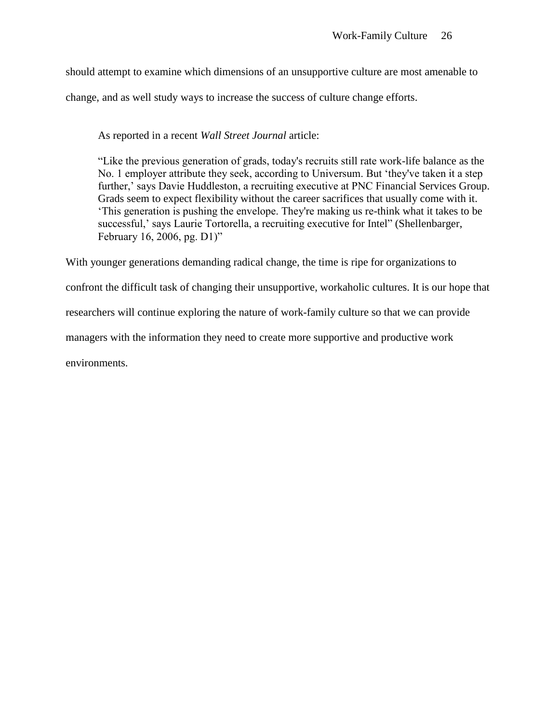should attempt to examine which dimensions of an unsupportive culture are most amenable to change, and as well study ways to increase the success of culture change efforts.

As reported in a recent *Wall Street Journal* article:

"Like the previous generation of grads, today's recruits still rate work-life balance as the No. 1 employer attribute they seek, according to Universum. But 'they've taken it a step further,' says Davie Huddleston, a recruiting executive at PNC Financial Services Group. Grads seem to expect flexibility without the career sacrifices that usually come with it. 'This generation is pushing the envelope. They're making us re-think what it takes to be successful,' says Laurie Tortorella, a recruiting executive for Intel" (Shellenbarger, February 16, 2006, pg. D1)"

With younger generations demanding radical change, the time is ripe for organizations to confront the difficult task of changing their unsupportive, workaholic cultures. It is our hope that researchers will continue exploring the nature of work-family culture so that we can provide managers with the information they need to create more supportive and productive work environments.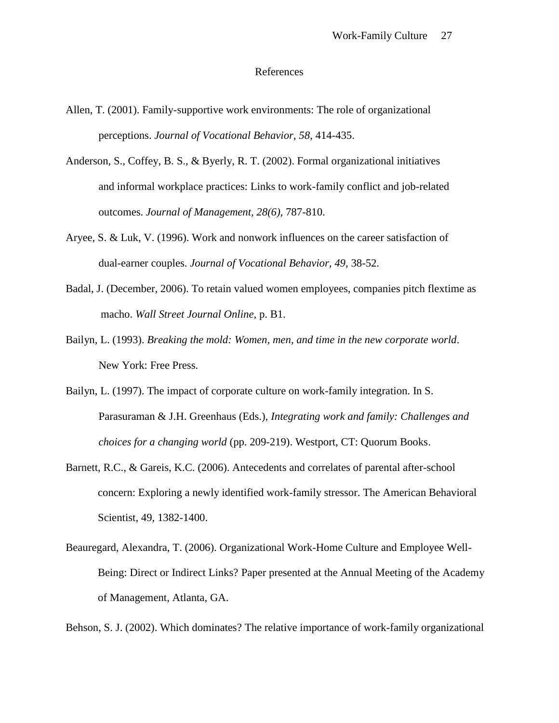#### References

- Allen, T. (2001). Family-supportive work environments: The role of organizational perceptions. *Journal of Vocational Behavior, 58*, 414-435.
- Anderson, S., Coffey, B. S., & Byerly, R. T. (2002). Formal organizational initiatives and informal workplace practices: Links to work-family conflict and job-related outcomes. *Journal of Management, 28(6),* 787-810.
- Aryee, S. & Luk, V. (1996). Work and nonwork influences on the career satisfaction of dual-earner couples. *Journal of Vocational Behavior, 49,* 38-52.
- Badal, J. (December, 2006). To retain valued women employees, companies pitch flextime as macho. *Wall Street Journal Online*, p. B1.
- Bailyn, L. (1993). *Breaking the mold: Women, men, and time in the new corporate world*. New York: Free Press.
- Bailyn, L. (1997). The impact of corporate culture on work-family integration. In S. Parasuraman & J.H. Greenhaus (Eds.), *Integrating work and family: Challenges and choices for a changing world* (pp. 209-219). Westport, CT: Quorum Books.
- Barnett, R.C., & Gareis, K.C. (2006). Antecedents and correlates of parental after-school concern: Exploring a newly identified work-family stressor. The American Behavioral Scientist, 49, 1382-1400.
- Beauregard, Alexandra, T. (2006). Organizational Work-Home Culture and Employee Well-Being: Direct or Indirect Links? Paper presented at the Annual Meeting of the Academy of Management, Atlanta, GA.

Behson, S. J. (2002). Which dominates? The relative importance of work-family organizational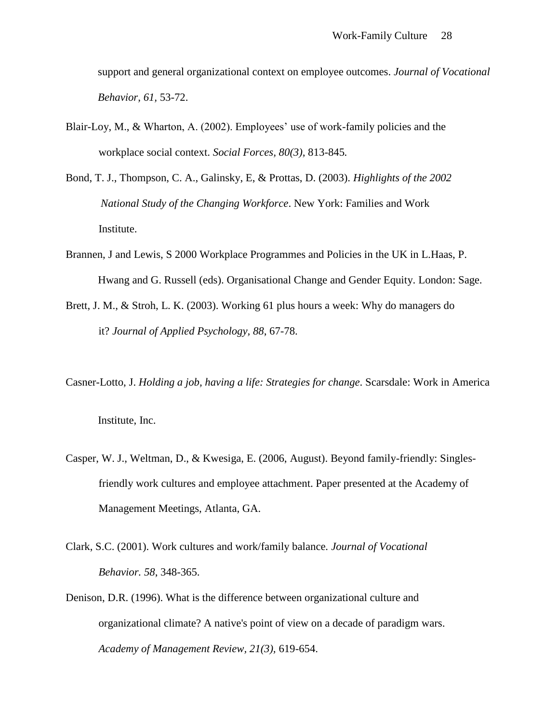support and general organizational context on employee outcomes. *Journal of Vocational Behavior, 61,* 53-72.

- Blair-Loy, M., & Wharton, A. (2002). Employees' use of work-family policies and the workplace social context. *Social Forces, 80(3),* 813-845*.*
- Bond, T. J., Thompson, C. A., Galinsky, E, & Prottas, D. (2003). *Highlights of the 2002 National Study of the Changing Workforce*. New York: Families and Work Institute.
- Brannen, J and Lewis, S 2000 Workplace Programmes and Policies in the UK in L.Haas, P. Hwang and G. Russell (eds). Organisational Change and Gender Equity. London: Sage.
- Brett, J. M., & Stroh, L. K. (2003). Working 61 plus hours a week: Why do managers do it? *Journal of Applied Psychology, 88*, 67-78.

Casner-Lotto, J. *Holding a job, having a life: Strategies for change*. Scarsdale: Work in America

Institute, Inc.

- Casper, W. J., Weltman, D., & Kwesiga, E. (2006, August). Beyond family-friendly: Singlesfriendly work cultures and employee attachment. Paper presented at the Academy of Management Meetings, Atlanta, GA.
- Clark, S.C. (2001). Work cultures and work/family balance*. Journal of Vocational Behavior. 58*, 348-365.
- Denison, D.R. (1996). What is the difference between organizational culture and organizational climate? A native's point of view on a decade of paradigm wars. *Academy of Management Review, 21(3),* 619-654.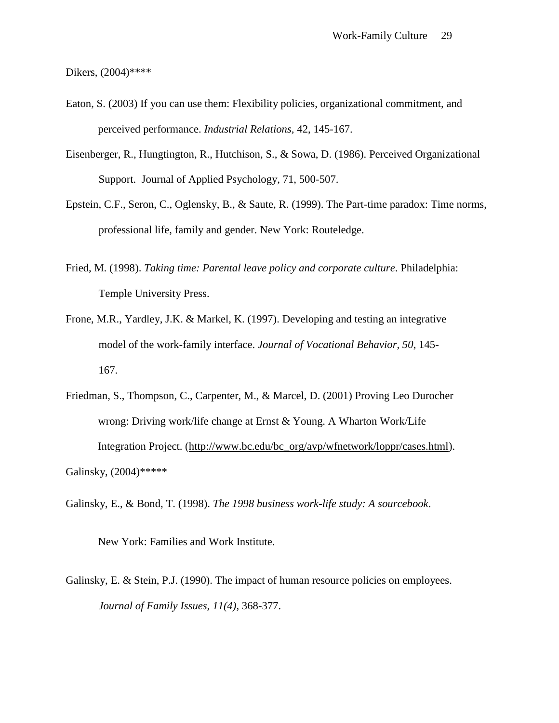Dikers, (2004)\*\*\*\*

- Eaton, S. (2003) If you can use them: Flexibility policies, organizational commitment, and perceived performance. *Industrial Relations,* 42, 145-167.
- Eisenberger, R., Hungtington, R., Hutchison, S., & Sowa, D. (1986). Perceived Organizational Support. Journal of Applied Psychology, 71, 500-507.
- Epstein, C.F., Seron, C., Oglensky, B., & Saute, R. (1999). The Part-time paradox: Time norms, professional life, family and gender. New York: Routeledge.
- Fried, M. (1998). *Taking time: Parental leave policy and corporate culture*. Philadelphia: Temple University Press.
- Frone, M.R., Yardley, J.K. & Markel, K. (1997). Developing and testing an integrative model of the work-family interface. *Journal of Vocational Behavior, 50*, 145- 167.
- Friedman, S., Thompson, C., Carpenter, M., & Marcel, D. (2001) Proving Leo Durocher wrong: Driving work/life change at Ernst & Young. A Wharton Work/Life Integration Project. [\(http://www.bc.edu/bc\\_org/avp/wfnetwork/loppr/cases.html\)](http://www.bc.edu/bc_org/avp/wfnetwork/loppr/cases.html). Galinsky, (2004)\*\*\*\*\*

Galinsky, E., & Bond, T. (1998). *The 1998 business work-life study: A sourcebook*.

New York: Families and Work Institute.

Galinsky, E. & Stein, P.J. (1990). The impact of human resource policies on employees. *Journal of Family Issues, 11(4)*, 368-377.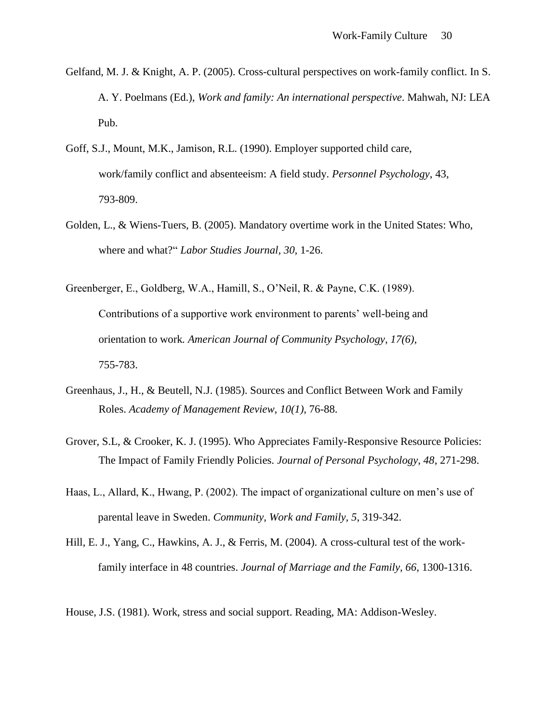- Gelfand, M. J. & Knight, A. P. (2005). Cross-cultural perspectives on work-family conflict. In S. A. Y. Poelmans (Ed.), *Work and family: An international perspective*. Mahwah, NJ: LEA Pub.
- Goff, S.J., Mount, M.K., Jamison, R.L. (1990). Employer supported child care, work/family conflict and absenteeism: A field study. *Personnel Psychology*, 43, 793-809.
- Golden, L., & Wiens-Tuers, B. (2005). Mandatory overtime work in the United States: Who, where and what?" *Labor Studies Journal, 30,* 1-26.
- Greenberger, E., Goldberg, W.A., Hamill, S., O'Neil, R. & Payne, C.K. (1989). Contributions of a supportive work environment to parents' well-being and orientation to work*. American Journal of Community Psychology, 17(6),* 755-783.
- Greenhaus, J., H., & Beutell, N.J. (1985). Sources and Conflict Between Work and Family Roles. *Academy of Management Review, 10(1),* 76-88.
- Grover, S.L, & Crooker, K. J. (1995). Who Appreciates Family-Responsive Resource Policies: The Impact of Family Friendly Policies. *Journal of Personal Psychology, 48*, 271-298.
- Haas, L., Allard, K., Hwang, P. (2002). The impact of organizational culture on men's use of parental leave in Sweden. *Community, Work and Family, 5*, 319-342.
- Hill, E. J., Yang, C., Hawkins, A. J., & Ferris, M. (2004). A cross-cultural test of the workfamily interface in 48 countries. *Journal of Marriage and the Family, 66*, 1300-1316.
- House, J.S. (1981). Work, stress and social support. Reading, MA: Addison-Wesley.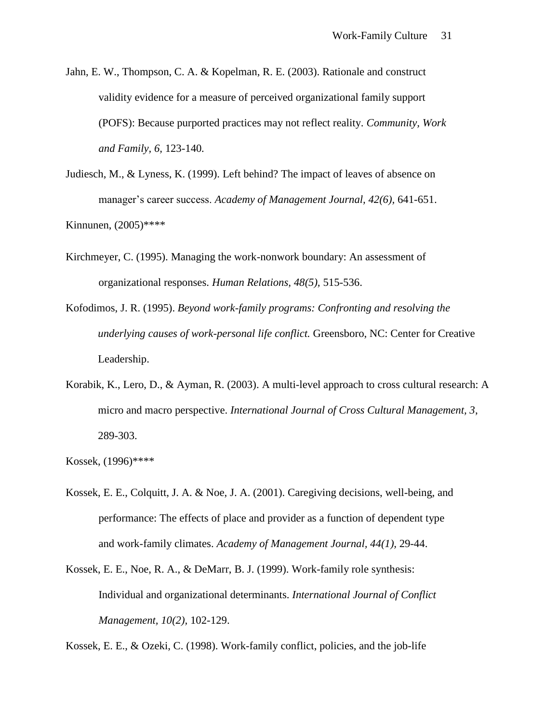- Jahn, E. W., Thompson, C. A. & Kopelman, R. E. (2003). Rationale and construct validity evidence for a measure of perceived organizational family support (POFS): Because purported practices may not reflect reality. *Community, Work and Family, 6,* 123-140*.*
- Judiesch, M., & Lyness, K. (1999). Left behind? The impact of leaves of absence on manager's career success. *Academy of Management Journal, 42(6),* 641-651. Kinnunen, (2005)\*\*\*\*
- Kirchmeyer, C. (1995). Managing the work-nonwork boundary: An assessment of organizational responses. *Human Relations, 48(5),* 515-536.
- Kofodimos, J. R. (1995). *Beyond work-family programs: Confronting and resolving the underlying causes of work-personal life conflict.* Greensboro, NC: Center for Creative Leadership.
- Korabik, K., Lero, D., & Ayman, R. (2003). A multi-level approach to cross cultural research: A micro and macro perspective. *International Journal of Cross Cultural Management, 3*, 289-303.
- Kossek, (1996)\*\*\*\*
- Kossek, E. E., Colquitt, J. A. & Noe, J. A. (2001). Caregiving decisions, well-being, and performance: The effects of place and provider as a function of dependent type and work-family climates. *Academy of Management Journal, 44(1),* 29-44.
- Kossek, E. E., Noe, R. A., & DeMarr, B. J. (1999). Work-family role synthesis: Individual and organizational determinants. *International Journal of Conflict Management, 10(2),* 102-129.

Kossek, E. E., & Ozeki, C. (1998). Work-family conflict, policies, and the job-life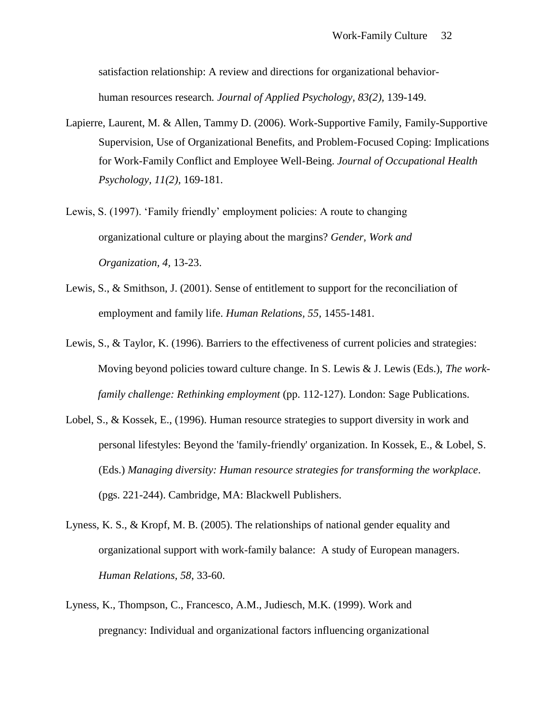satisfaction relationship: A review and directions for organizational behaviorhuman resources research*. Journal of Applied Psychology, 83(2),* 139-149.

- Lapierre, Laurent, M. & Allen, Tammy D. (2006). Work-Supportive Family, Family-Supportive Supervision, Use of Organizational Benefits, and Problem-Focused Coping: Implications for Work-Family Conflict and Employee Well-Being. *Journal of Occupational Health Psychology, 11(2),* 169-181.
- Lewis, S. (1997). 'Family friendly' employment policies: A route to changing organizational culture or playing about the margins? *Gender, Work and Organization, 4,* 13-23.
- Lewis, S., & Smithson, J. (2001). Sense of entitlement to support for the reconciliation of employment and family life. *Human Relations, 55,* 1455-1481.
- Lewis, S., & Taylor, K. (1996). Barriers to the effectiveness of current policies and strategies: Moving beyond policies toward culture change. In S. Lewis & J. Lewis (Eds.), *The workfamily challenge: Rethinking employment* (pp. 112-127). London: Sage Publications.
- Lobel, S., & Kossek, E., (1996). Human resource strategies to support diversity in work and personal lifestyles: Beyond the 'family-friendly' organization. In Kossek, E., & Lobel, S. (Eds.) *Managing diversity: Human resource strategies for transforming the workplace*. (pgs. 221-244). Cambridge, MA: Blackwell Publishers.
- Lyness, K. S., & Kropf, M. B. (2005). The relationships of national gender equality and organizational support with work-family balance: A study of European managers. *Human Relations, 58*, 33-60.
- Lyness, K., Thompson, C., Francesco, A.M., Judiesch, M.K. (1999). Work and pregnancy: Individual and organizational factors influencing organizational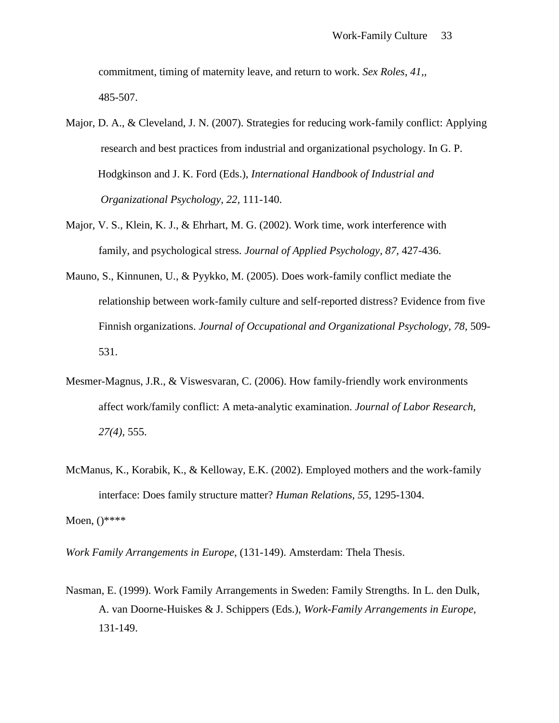commitment, timing of maternity leave, and return to work. *Sex Roles, 41,,* 485-507.

- Major, D. A., & Cleveland, J. N. (2007). Strategies for reducing work-family conflict: Applying research and best practices from industrial and organizational psychology. In G. P. Hodgkinson and J. K. Ford (Eds.), *International Handbook of Industrial and Organizational Psychology, 22,* 111-140.
- Major, V. S., Klein, K. J., & Ehrhart, M. G. (2002). Work time, work interference with family, and psychological stress. *Journal of Applied Psychology, 87,* 427-436.
- Mauno, S., Kinnunen, U., & Pyykko, M. (2005). Does work-family conflict mediate the relationship between work-family culture and self-reported distress? Evidence from five Finnish organizations. *Journal of Occupational and Organizational Psychology, 78,* 509- 531.
- Mesmer-Magnus, J.R., & Viswesvaran, C. (2006). How family-friendly work environments affect work/family conflict: A meta-analytic examination. *Journal of Labor Research, 27(4),* 555.
- McManus, K., Korabik, K., & Kelloway, E.K. (2002). Employed mothers and the work-family interface: Does family structure matter? *Human Relations, 55,* 1295-1304. Moen,  $()****$

*Work Family Arrangements in Europe,* (131-149). Amsterdam: Thela Thesis.

Nasman, E. (1999). Work Family Arrangements in Sweden: Family Strengths. In L. den Dulk, A. van Doorne-Huiskes & J. Schippers (Eds.), *Work-Family Arrangements in Europe,* 131-149.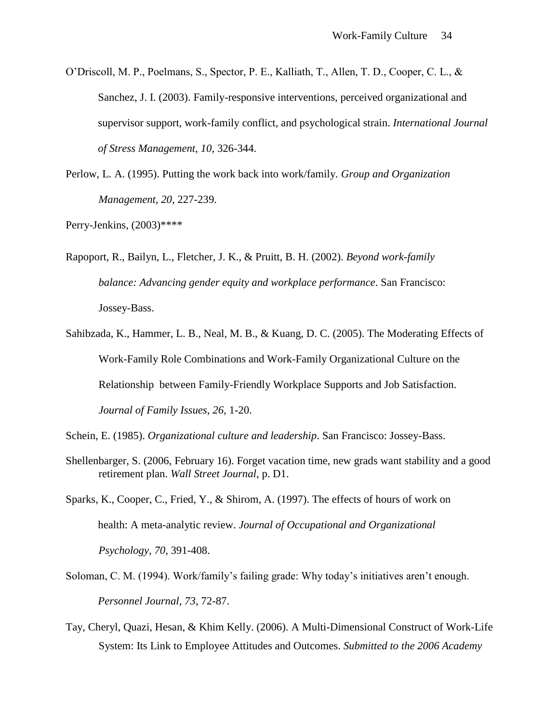O'Driscoll, M. P., Poelmans, S., Spector, P. E., Kalliath, T., Allen, T. D., Cooper, C. L., & Sanchez, J. I. (2003). Family-responsive interventions, perceived organizational and supervisor support, work-family conflict, and psychological strain. *International Journal of Stress Management, 10*, 326-344.

Perlow, L. A. (1995). Putting the work back into work/family. *Group and Organization Management, 20,* 227-239.

Perry-Jenkins, (2003)\*\*\*\*

Rapoport, R., Bailyn, L., Fletcher, J. K., & Pruitt, B. H. (2002). *Beyond work-family balance: Advancing gender equity and workplace performance*. San Francisco: Jossey-Bass.

Sahibzada, K., Hammer, L. B., Neal, M. B., & Kuang, D. C. (2005). The Moderating Effects of Work-Family Role Combinations and Work-Family Organizational Culture on the Relationship between Family-Friendly Workplace Supports and Job Satisfaction. *Journal of Family Issues, 26,* 1-20.

Schein, E. (1985). *Organizational culture and leadership*. San Francisco: Jossey-Bass.

Shellenbarger, S. (2006, February 16). Forget vacation time, new grads want stability and a good retirement plan. *Wall Street Journal*, p. D1.

Sparks, K., Cooper, C., Fried, Y., & Shirom, A. (1997). The effects of hours of work on health: A meta-analytic review. *Journal of Occupational and Organizational Psychology, 70,* 391-408.

- Soloman, C. M. (1994). Work/family's failing grade: Why today's initiatives aren't enough. *Personnel Journal, 73*, 72-87.
- Tay, Cheryl, Quazi, Hesan, & Khim Kelly. (2006). A Multi-Dimensional Construct of Work-Life System: Its Link to Employee Attitudes and Outcomes. *Submitted to the 2006 Academy*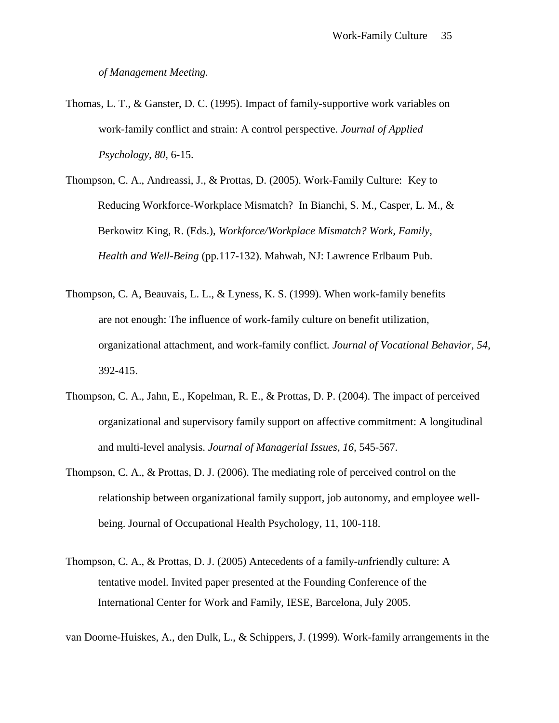*of Management Meeting.*

- Thomas, L. T., & Ganster, D. C. (1995). Impact of family-supportive work variables on work-family conflict and strain: A control perspective. *Journal of Applied Psychology, 80,* 6-15.
- Thompson, C. A., Andreassi, J., & Prottas, D. (2005). Work-Family Culture: Key to Reducing Workforce-Workplace Mismatch? In Bianchi, S. M., Casper, L. M., & Berkowitz King, R. (Eds.), *Workforce/Workplace Mismatch? Work, Family, Health and Well-Being* (pp.117-132). Mahwah, NJ: Lawrence Erlbaum Pub.
- Thompson, C. A, Beauvais, L. L., & Lyness, K. S. (1999). When work-family benefits are not enough: The influence of work-family culture on benefit utilization, organizational attachment, and work-family conflict*. Journal of Vocational Behavior, 54*, 392-415.
- Thompson, C. A., Jahn, E., Kopelman, R. E., & Prottas, D. P. (2004). The impact of perceived organizational and supervisory family support on affective commitment: A longitudinal and multi-level analysis. *Journal of Managerial Issues*, *16,* 545-567.
- Thompson, C. A., & Prottas, D. J. (2006). The mediating role of perceived control on the relationship between organizational family support, job autonomy, and employee wellbeing. Journal of Occupational Health Psychology, 11, 100-118.
- Thompson, C. A., & Prottas, D. J. (2005) Antecedents of a family-*un*friendly culture: A tentative model. Invited paper presented at the Founding Conference of the International Center for Work and Family, IESE, Barcelona, July 2005.

van Doorne-Huiskes, A., den Dulk, L., & Schippers, J. (1999). Work-family arrangements in the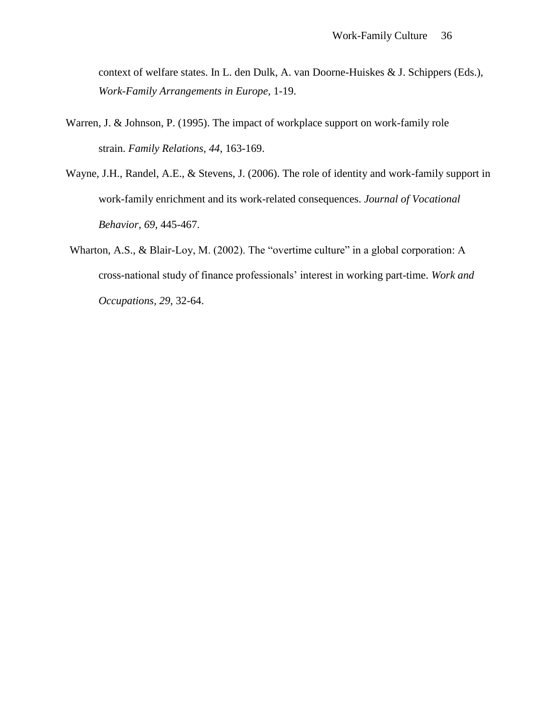context of welfare states. In L. den Dulk, A. van Doorne-Huiskes & J. Schippers (Eds.), *Work-Family Arrangements in Europe,* 1-19.

- Warren, J. & Johnson, P. (1995). The impact of workplace support on work-family role strain. *Family Relations, 44*, 163-169.
- Wayne, J.H., Randel, A.E., & Stevens, J. (2006). The role of identity and work-family support in work-family enrichment and its work-related consequences. *Journal of Vocational Behavior, 69,* 445-467.
- Wharton, A.S., & Blair-Loy, M. (2002). The "overtime culture" in a global corporation: A cross-national study of finance professionals' interest in working part-time. *Work and Occupations, 29,* 32-64.